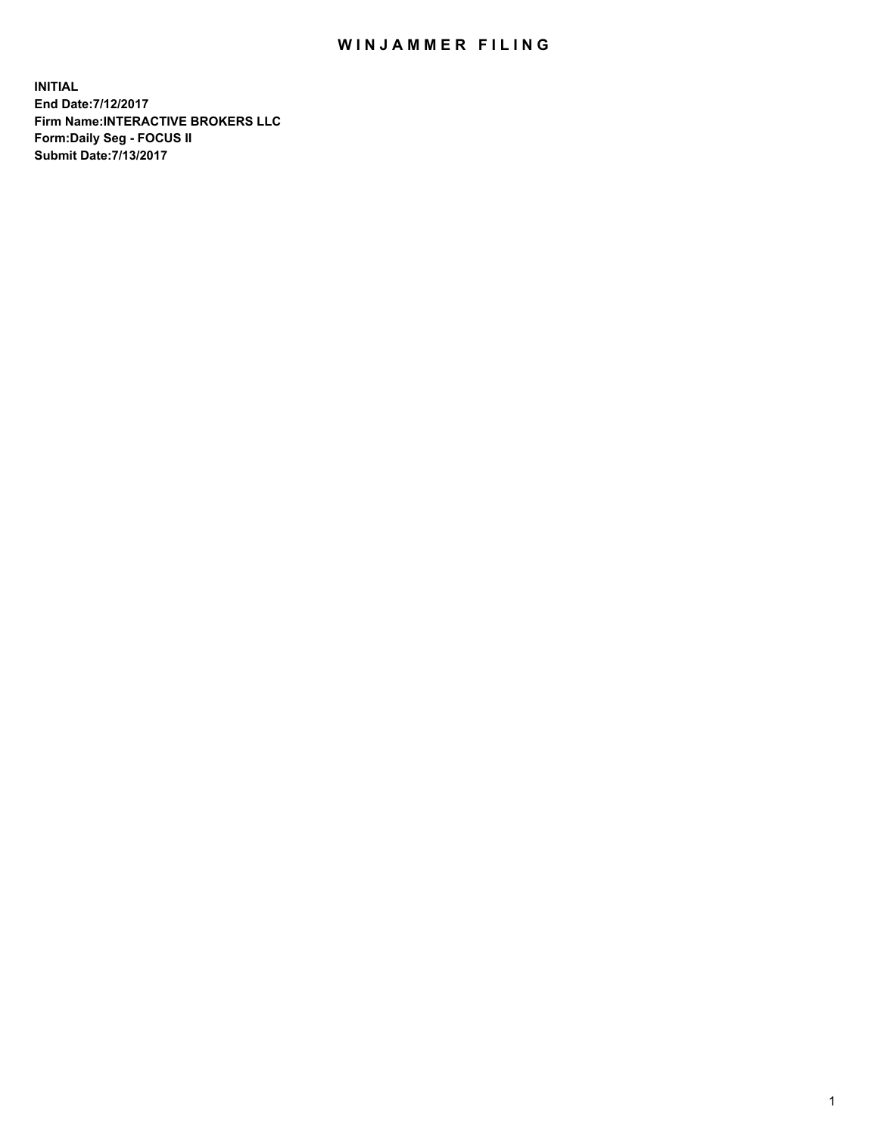## WIN JAMMER FILING

**INITIAL End Date:7/12/2017 Firm Name:INTERACTIVE BROKERS LLC Form:Daily Seg - FOCUS II Submit Date:7/13/2017**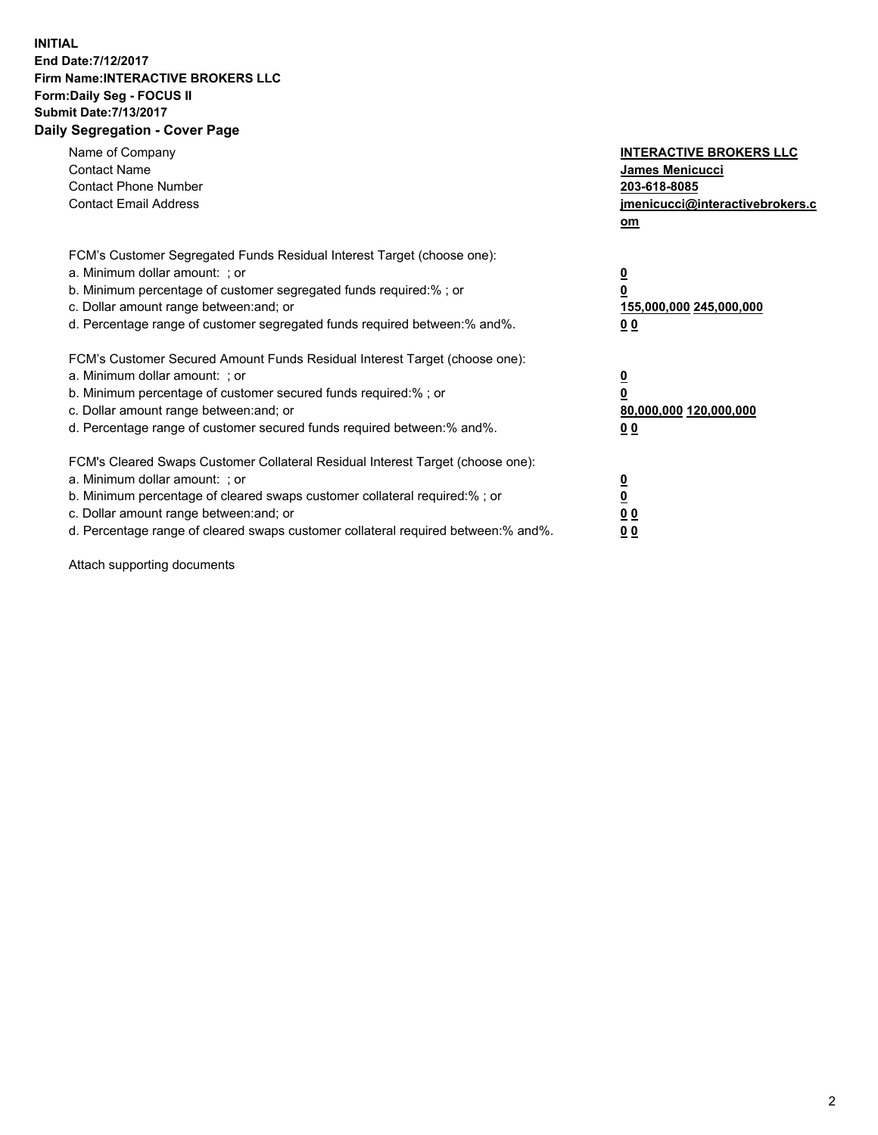## **INITIAL End Date:7/12/2017 Firm Name:INTERACTIVE BROKERS LLC Form:Daily Seg - FOCUS II Submit Date:7/13/2017 Daily Segregation - Cover Page**

| Name of Company<br><b>Contact Name</b><br><b>Contact Phone Number</b><br><b>Contact Email Address</b>                                                                                                                                                                                                                          | <b>INTERACTIVE BROKERS LLC</b><br>James Menicucci<br>203-618-8085<br>jmenicucci@interactivebrokers.c<br>om |
|--------------------------------------------------------------------------------------------------------------------------------------------------------------------------------------------------------------------------------------------------------------------------------------------------------------------------------|------------------------------------------------------------------------------------------------------------|
| FCM's Customer Segregated Funds Residual Interest Target (choose one):<br>a. Minimum dollar amount: ; or<br>b. Minimum percentage of customer segregated funds required:%; or<br>c. Dollar amount range between: and; or<br>d. Percentage range of customer segregated funds required between:% and%.                          | $\overline{\mathbf{0}}$<br>0<br>155,000,000 245,000,000<br>0 <sub>0</sub>                                  |
| FCM's Customer Secured Amount Funds Residual Interest Target (choose one):<br>a. Minimum dollar amount: ; or<br>b. Minimum percentage of customer secured funds required:%; or<br>c. Dollar amount range between: and; or<br>d. Percentage range of customer secured funds required between:% and%.                            | $\overline{\mathbf{0}}$<br>$\overline{\mathbf{0}}$<br>80,000,000 120,000,000<br>00                         |
| FCM's Cleared Swaps Customer Collateral Residual Interest Target (choose one):<br>a. Minimum dollar amount: ; or<br>b. Minimum percentage of cleared swaps customer collateral required:% ; or<br>c. Dollar amount range between: and; or<br>d. Percentage range of cleared swaps customer collateral required between:% and%. | $\overline{\mathbf{0}}$<br>$\overline{\mathbf{0}}$<br>0 <sub>0</sub><br><u>00</u>                          |

Attach supporting documents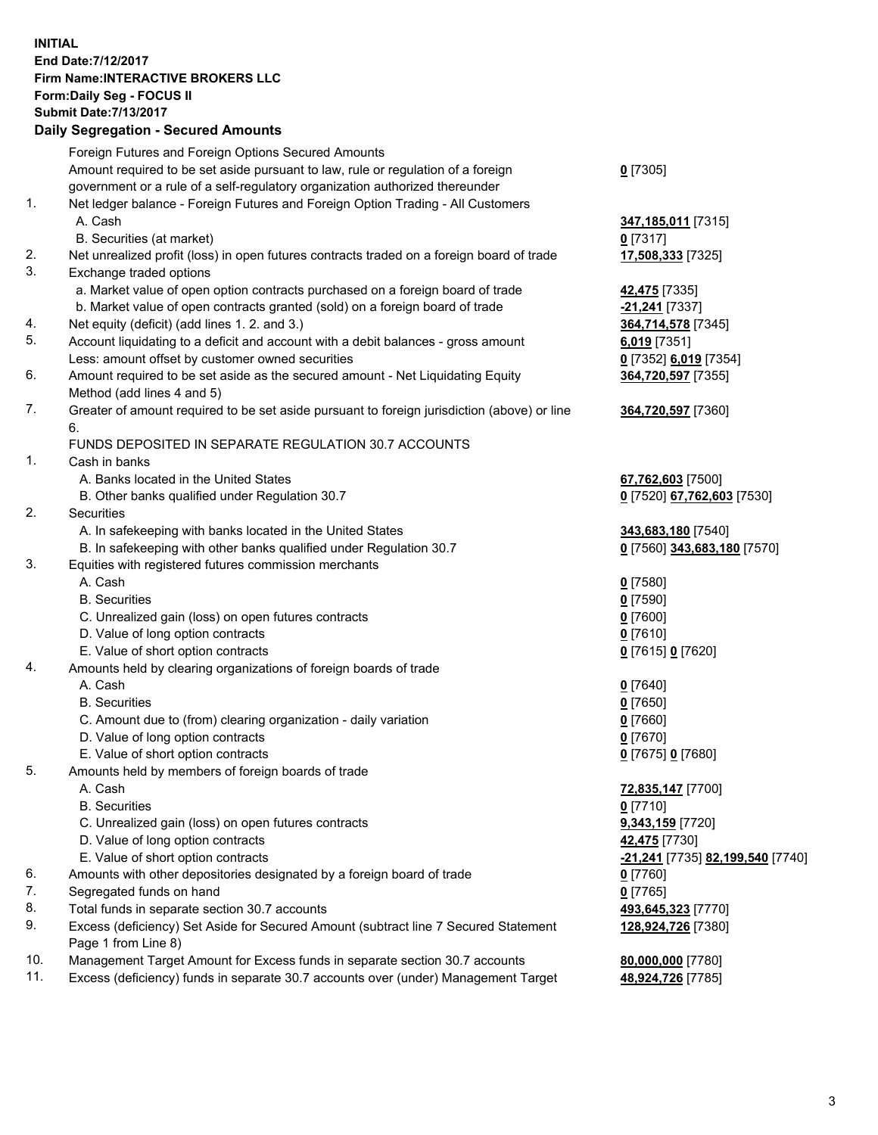## **INITIAL End Date:7/12/2017 Firm Name:INTERACTIVE BROKERS LLC Form:Daily Seg - FOCUS II Submit Date:7/13/2017 Daily Segregation - Secured Amounts**

|     | Daily Segregation - Secured Amounts                                                         |                                  |
|-----|---------------------------------------------------------------------------------------------|----------------------------------|
|     | Foreign Futures and Foreign Options Secured Amounts                                         |                                  |
|     | Amount required to be set aside pursuant to law, rule or regulation of a foreign            | $0$ [7305]                       |
|     | government or a rule of a self-regulatory organization authorized thereunder                |                                  |
| 1.  | Net ledger balance - Foreign Futures and Foreign Option Trading - All Customers             |                                  |
|     | A. Cash                                                                                     | 347,185,011 [7315]               |
|     | B. Securities (at market)                                                                   | $0$ [7317]                       |
| 2.  | Net unrealized profit (loss) in open futures contracts traded on a foreign board of trade   | 17,508,333 [7325]                |
| 3.  |                                                                                             |                                  |
|     | Exchange traded options                                                                     |                                  |
|     | a. Market value of open option contracts purchased on a foreign board of trade              | 42,475 [7335]                    |
|     | b. Market value of open contracts granted (sold) on a foreign board of trade                | -21,241 [7337]                   |
| 4.  | Net equity (deficit) (add lines 1. 2. and 3.)                                               | 364,714,578 [7345]               |
| 5.  | Account liquidating to a deficit and account with a debit balances - gross amount           | $6,019$ [7351]                   |
|     | Less: amount offset by customer owned securities                                            | 0 [7352] 6,019 [7354]            |
| 6.  | Amount required to be set aside as the secured amount - Net Liquidating Equity              | 364,720,597 [7355]               |
|     | Method (add lines 4 and 5)                                                                  |                                  |
| 7.  | Greater of amount required to be set aside pursuant to foreign jurisdiction (above) or line | 364,720,597 [7360]               |
|     | 6.                                                                                          |                                  |
|     | FUNDS DEPOSITED IN SEPARATE REGULATION 30.7 ACCOUNTS                                        |                                  |
| 1.  | Cash in banks                                                                               |                                  |
|     | A. Banks located in the United States                                                       | 67,762,603 [7500]                |
|     | B. Other banks qualified under Regulation 30.7                                              | 0 [7520] 67,762,603 [7530]       |
| 2.  | Securities                                                                                  |                                  |
|     | A. In safekeeping with banks located in the United States                                   | 343,683,180 [7540]               |
|     | B. In safekeeping with other banks qualified under Regulation 30.7                          | 0 [7560] 343,683,180 [7570]      |
| 3.  | Equities with registered futures commission merchants                                       |                                  |
|     | A. Cash                                                                                     | $0$ [7580]                       |
|     | <b>B.</b> Securities                                                                        | $0$ [7590]                       |
|     | C. Unrealized gain (loss) on open futures contracts                                         | $0$ [7600]                       |
|     | D. Value of long option contracts                                                           | $0$ [7610]                       |
|     | E. Value of short option contracts                                                          | 0 [7615] 0 [7620]                |
| 4.  | Amounts held by clearing organizations of foreign boards of trade                           |                                  |
|     | A. Cash                                                                                     | $0$ [7640]                       |
|     | <b>B.</b> Securities                                                                        | $0$ [7650]                       |
|     | C. Amount due to (from) clearing organization - daily variation                             | $0$ [7660]                       |
|     | D. Value of long option contracts                                                           | $0$ [7670]                       |
|     | E. Value of short option contracts                                                          | 0 [7675] 0 [7680]                |
| 5.  | Amounts held by members of foreign boards of trade                                          |                                  |
|     | A. Cash                                                                                     |                                  |
|     | <b>B.</b> Securities                                                                        | 72,835,147 [7700]                |
|     |                                                                                             | $0$ [7710]                       |
|     | C. Unrealized gain (loss) on open futures contracts                                         | 9,343,159 [7720]                 |
|     | D. Value of long option contracts                                                           | 42,475 [7730]                    |
|     | E. Value of short option contracts                                                          | -21,241 [7735] 82,199,540 [7740] |
| 6.  | Amounts with other depositories designated by a foreign board of trade                      | 0 [7760]                         |
| 7.  | Segregated funds on hand                                                                    | $0$ [7765]                       |
| 8.  | Total funds in separate section 30.7 accounts                                               | 493,645,323 [7770]               |
| 9.  | Excess (deficiency) Set Aside for Secured Amount (subtract line 7 Secured Statement         | 128,924,726 [7380]               |
|     | Page 1 from Line 8)                                                                         |                                  |
| 10. | Management Target Amount for Excess funds in separate section 30.7 accounts                 | 80,000,000 [7780]                |
| 11. | Excess (deficiency) funds in separate 30.7 accounts over (under) Management Target          | 48,924,726 [7785]                |
|     |                                                                                             |                                  |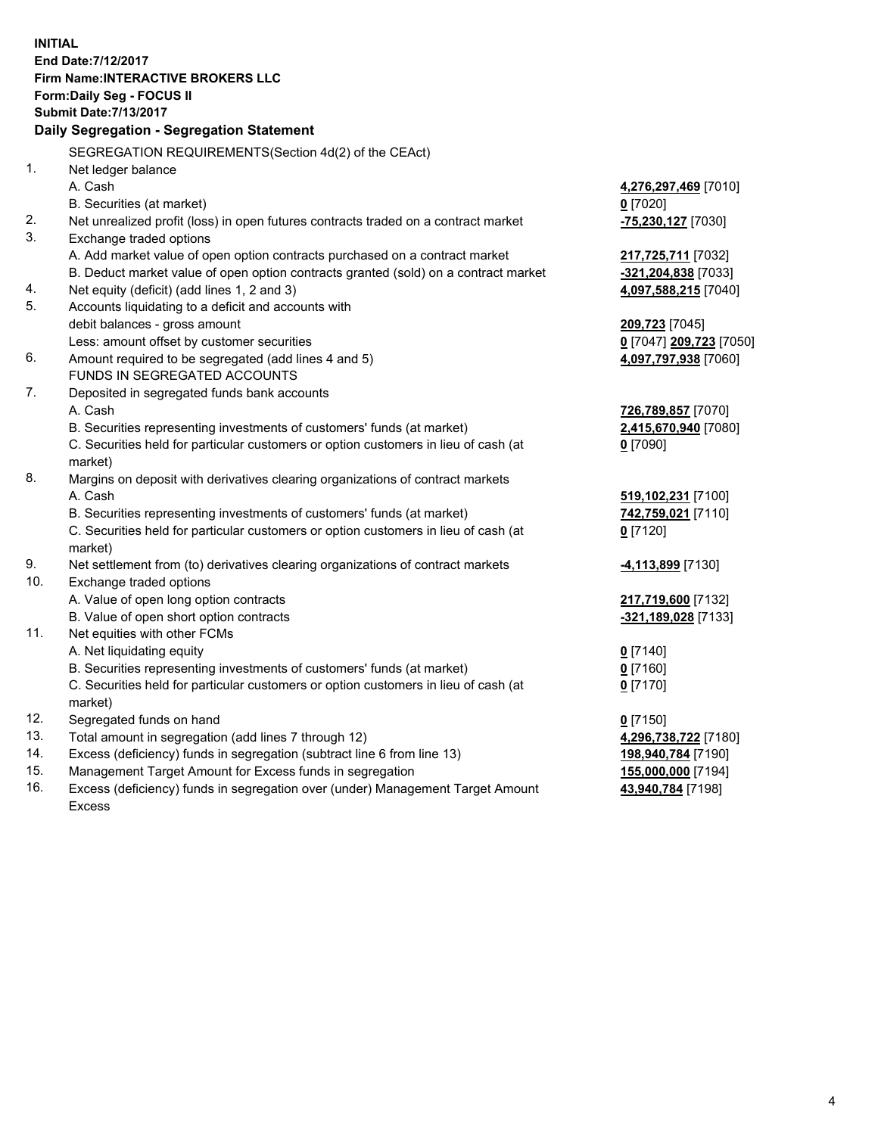**INITIAL End Date:7/12/2017 Firm Name:INTERACTIVE BROKERS LLC Form:Daily Seg - FOCUS II Submit Date:7/13/2017 Daily Segregation - Segregation Statement** SEGREGATION REQUIREMENTS(Section 4d(2) of the CEAct) 1. Net ledger balance A. Cash **4,276,297,469** [7010] B. Securities (at market) **0** [7020] 2. Net unrealized profit (loss) in open futures contracts traded on a contract market **-75,230,127** [7030] 3. Exchange traded options A. Add market value of open option contracts purchased on a contract market **217,725,711** [7032] B. Deduct market value of open option contracts granted (sold) on a contract market **-321,204,838** [7033] 4. Net equity (deficit) (add lines 1, 2 and 3) **4,097,588,215** [7040] 5. Accounts liquidating to a deficit and accounts with debit balances - gross amount **209,723** [7045] Less: amount offset by customer securities **0** [7047] **209,723** [7050] 6. Amount required to be segregated (add lines 4 and 5) **4,097,797,938** [7060] FUNDS IN SEGREGATED ACCOUNTS 7. Deposited in segregated funds bank accounts A. Cash **726,789,857** [7070] B. Securities representing investments of customers' funds (at market) **2,415,670,940** [7080] C. Securities held for particular customers or option customers in lieu of cash (at market) **0** [7090] 8. Margins on deposit with derivatives clearing organizations of contract markets A. Cash **519,102,231** [7100] B. Securities representing investments of customers' funds (at market) **742,759,021** [7110] C. Securities held for particular customers or option customers in lieu of cash (at market) **0** [7120] 9. Net settlement from (to) derivatives clearing organizations of contract markets **-4,113,899** [7130] 10. Exchange traded options A. Value of open long option contracts **217,719,600** [7132] B. Value of open short option contracts **-321,189,028** [7133] 11. Net equities with other FCMs A. Net liquidating equity **0** [7140] B. Securities representing investments of customers' funds (at market) **0** [7160] C. Securities held for particular customers or option customers in lieu of cash (at market) **0** [7170] 12. Segregated funds on hand **0** [7150] 13. Total amount in segregation (add lines 7 through 12) **4,296,738,722** [7180] 14. Excess (deficiency) funds in segregation (subtract line 6 from line 13) **198,940,784** [7190] 15. Management Target Amount for Excess funds in segregation **155,000,000** [7194]

16. Excess (deficiency) funds in segregation over (under) Management Target Amount Excess

**43,940,784** [7198]